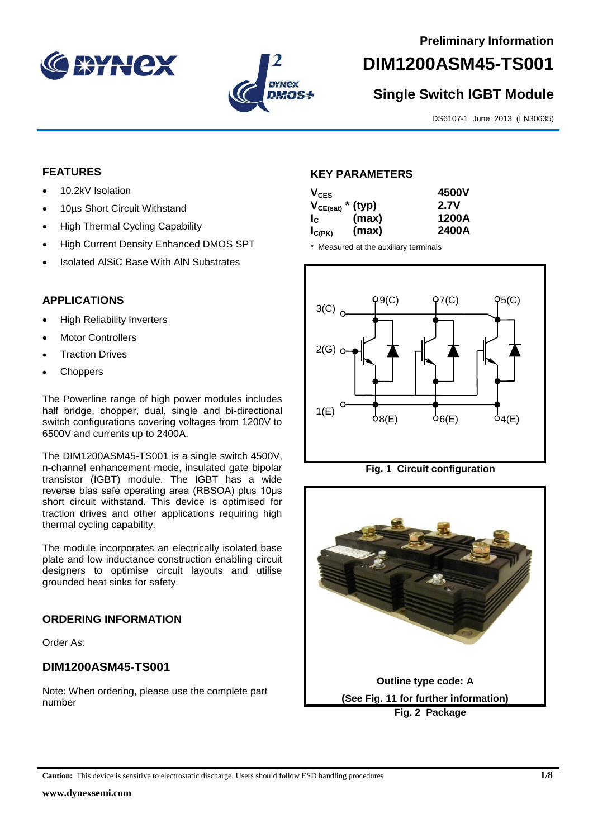



# **DIM1200ASM45-TS001**

# **Single Switch IGBT Module**

DS6107-1 June 2013 (LN30635)

# **FEATURES**

- 10.2kV Isolation
- 10us Short Circuit Withstand
- High Thermal Cycling Capability
- High Current Density Enhanced DMOS SPT
- Isolated AlSiC Base With AlN Substrates

# **APPLICATIONS**

- High Reliability Inverters
- Motor Controllers
- Traction Drives
- Choppers

The Powerline range of high power modules includes half bridge, chopper, dual, single and bi-directional switch configurations covering voltages from 1200V to 6500V and currents up to 2400A.

The DIM1200ASM45-TS001 is a single switch 4500V, n-channel enhancement mode, insulated gate bipolar transistor (IGBT) module. The IGBT has a wide reverse bias safe operating area (RBSOA) plus 10μs short circuit withstand. This device is optimised for traction drives and other applications requiring high thermal cycling capability.

The module incorporates an electrically isolated base plate and low inductance construction enabling circuit designers to optimise circuit layouts and utilise grounded heat sinks for safety.

# **ORDERING INFORMATION**

Order As:

# **DIM1200ASM45-TS001**

Note: When ordering, please use the complete part number

# **KEY PARAMETERS**

| $V_{CES}$             |       | 4500V |
|-----------------------|-------|-------|
| $V_{CE(sat)}$ * (typ) |       | 2.7V  |
| $I_{\rm c}$           | (max) | 1200A |
| $I_{C(PK)}$           | (max) | 2400A |

\* Measured at the auxiliary terminals



**Fig. 1 Circuit configuration**

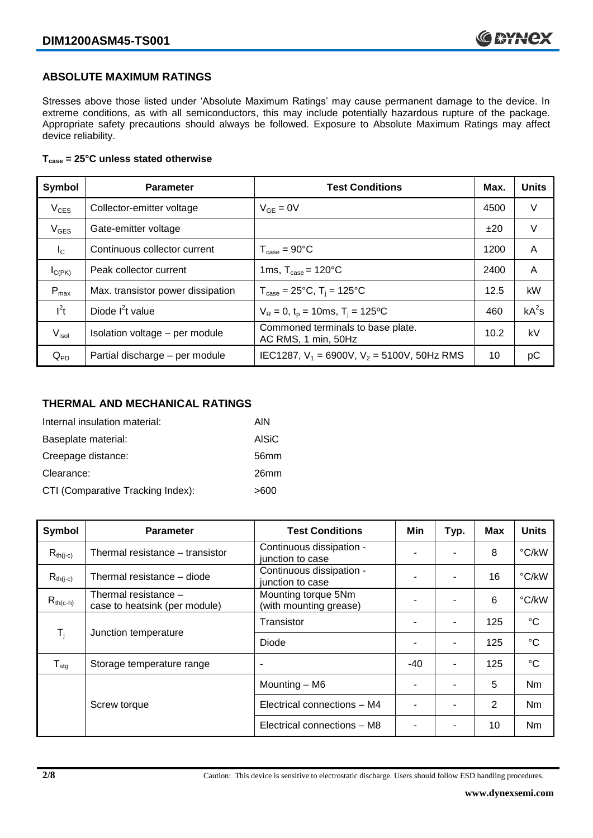# **ABSOLUTE MAXIMUM RATINGS**

Stresses above those listed under 'Absolute Maximum Ratings' may cause permanent damage to the device. In extreme conditions, as with all semiconductors, this may include potentially hazardous rupture of the package. Appropriate safety precautions should always be followed. Exposure to Absolute Maximum Ratings may affect device reliability.

## **Tcase = 25°C unless stated otherwise**

| Symbol           | <b>Parameter</b>                  | <b>Test Conditions</b>                                   |      | <b>Units</b> |
|------------------|-----------------------------------|----------------------------------------------------------|------|--------------|
| $V_{CES}$        | Collector-emitter voltage         | $V_{GF} = 0V$                                            | 4500 | V            |
| $V_{GES}$        | Gate-emitter voltage              |                                                          | ±20  | V            |
| $I_{\rm C}$      | Continuous collector current      | $T_{\text{case}} = 90^{\circ}C$                          | 1200 | A            |
| $I_{C(PK)}$      | Peak collector current            | 1ms, $T_{\text{case}} = 120^{\circ}$ C                   | 2400 | A            |
| $P_{\text{max}}$ | Max. transistor power dissipation | $T_{\text{case}} = 25^{\circ}C$ , $T_i = 125^{\circ}C$   | 12.5 | kW           |
| $I^2t$           | Diode $I^2t$ value                | $V_R = 0$ , $t_p = 10$ ms, $T_i = 125$ °C                | 460  | $kA^2s$      |
| $V_{\sf isol}$   | Isolation voltage - per module    | Commoned terminals to base plate.<br>AC RMS, 1 min, 50Hz | 10.2 | kV           |
| $Q_{PD}$         | Partial discharge - per module    | IEC1287, $V_1$ = 6900V, $V_2$ = 5100V, 50Hz RMS          | 10   | pС           |

# **THERMAL AND MECHANICAL RATINGS**

| Internal insulation material:     | AIN          |
|-----------------------------------|--------------|
| Baseplate material:               | <b>AISiC</b> |
| Creepage distance:                | 56mm         |
| Clearance:                        | 26mm         |
| CTI (Comparative Tracking Index): | >600         |

| Symbol                    | <b>Parameter</b>                                      | <b>Test Conditions</b>                        | Min   | Typ.           | Max | <b>Units</b>    |
|---------------------------|-------------------------------------------------------|-----------------------------------------------|-------|----------------|-----|-----------------|
| $R_{th(i-c)}$             | Thermal resistance – transistor                       | Continuous dissipation -<br>junction to case  |       |                | 8   | °C/kW           |
| $R_{th(i-c)}$             | Thermal resistance - diode                            | Continuous dissipation -<br>junction to case  |       |                | 16  | °C/kW           |
| $R_{th(c-h)}$             | Thermal resistance -<br>case to heatsink (per module) | Mounting torque 5Nm<br>(with mounting grease) | ٠     |                | 6   | °C/kW           |
| $\mathsf{T}_{\mathsf{i}}$ | Junction temperature                                  | Transistor                                    |       | -              | 125 | $^{\circ}C$     |
|                           |                                                       | Diode                                         | ٠     | ۰              | 125 | $\rm ^{\circ}C$ |
| $T_{\text{stg}}$          | Storage temperature range                             | $\overline{\phantom{a}}$                      | $-40$ | $\blacksquare$ | 125 | $^{\circ}C$     |
|                           |                                                       | Mounting - M6                                 |       |                | 5   | <b>Nm</b>       |
|                           | Screw torque                                          | Electrical connections - M4                   |       |                | 2   | Nm              |
|                           |                                                       | Electrical connections - M8                   |       |                | 10  | Nm              |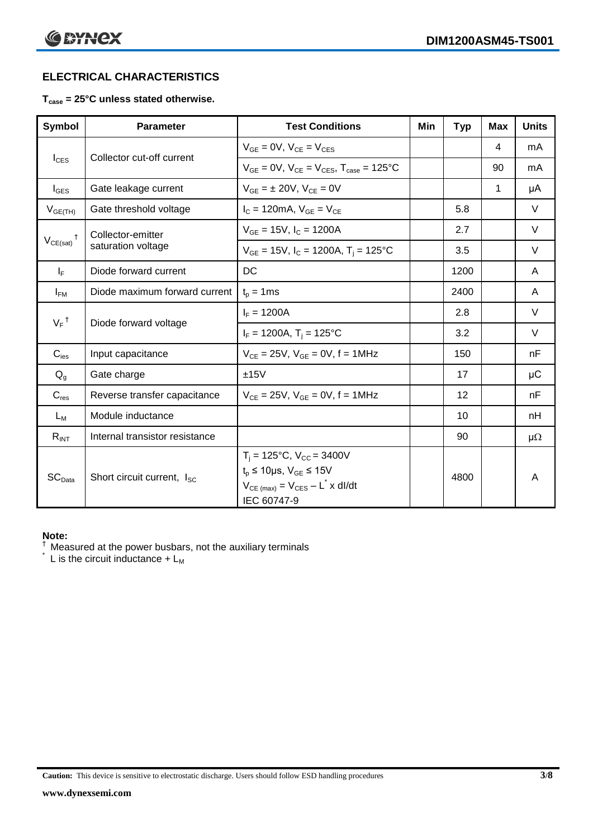# **ELECTRICAL CHARACTERISTICS**

# **Tcase = 25°C unless stated otherwise.**

| Symbol                                      | <b>Parameter</b>                       | <b>Test Conditions</b>                                                                                                                           | Min | <b>Typ</b> | <b>Max</b>   | <b>Units</b> |
|---------------------------------------------|----------------------------------------|--------------------------------------------------------------------------------------------------------------------------------------------------|-----|------------|--------------|--------------|
| $I_{CES}$                                   | Collector cut-off current              | $V_{GF} = 0V$ , $V_{CF} = V_{CES}$                                                                                                               |     |            | 4            | mA           |
|                                             |                                        | $V_{GF} = 0V$ , $V_{CF} = V_{CES}$ , $T_{case} = 125^{\circ}C$                                                                                   |     |            | 90           | mA           |
| $I_{\text{GES}}$                            | Gate leakage current                   | $V_{GF} = \pm 20V$ , $V_{CF} = 0V$                                                                                                               |     |            | $\mathbf{1}$ | μA           |
| $V_{GE(TH)}$                                | Gate threshold voltage                 | $I_{C} = 120 \text{mA}, V_{GE} = V_{CE}$                                                                                                         |     | 5.8        |              | V            |
|                                             | Collector-emitter                      | $V_{GE}$ = 15V, $I_C$ = 1200A                                                                                                                    |     | 2.7        |              | V            |
| $V_{CE(sat)}$                               | saturation voltage                     | $V_{GE}$ = 15V, $I_C$ = 1200A, $T_i$ = 125°C                                                                                                     |     | 3.5        |              | $\vee$       |
| $I_F$                                       | Diode forward current                  | DC                                                                                                                                               |     | 1200       |              | A            |
| $I_{FM}$                                    | Diode maximum forward current          | $t_p = 1$ ms                                                                                                                                     |     | 2400       |              | A            |
| $V_F$ <sup>†</sup><br>Diode forward voltage |                                        | $I_F = 1200A$                                                                                                                                    |     | 2.8        |              | $\vee$       |
|                                             |                                        | $I_F = 1200A$ , $T_i = 125^{\circ}C$                                                                                                             |     | 3.2        |              | V            |
| $C_{\text{ies}}$                            | Input capacitance                      | $V_{CE} = 25V$ , $V_{GE} = 0V$ , f = 1MHz                                                                                                        |     | 150        |              | nF           |
| $Q_{g}$                                     | Gate charge                            | ±15V                                                                                                                                             |     | 17         |              | μC           |
| $C_{res}$                                   | Reverse transfer capacitance           | $V_{CF} = 25V$ , $V_{GF} = 0V$ , f = 1MHz                                                                                                        |     | 12         |              | nF           |
| $L_M$                                       | Module inductance                      |                                                                                                                                                  |     | 10         |              | nH           |
| $R_{INT}$                                   | Internal transistor resistance         |                                                                                                                                                  |     | 90         |              | $\mu\Omega$  |
| $\mathsf{SC}_{\mathsf{Data}}$               | Short circuit current, I <sub>SC</sub> | $T_i = 125$ °C, $V_{CC} = 3400V$<br>$t_p \le 10 \mu s$ , $V_{GE} \le 15 V$<br>$V_{CE \text{ (max)}} = V_{CES} - L^* \times dl/dt$<br>IEC 60747-9 |     | 4800       |              | A            |

# **Note:**

 $\dagger$  Measured at the power busbars, not the auxiliary terminals

 $\check{}$  L is the circuit inductance + L<sub>M</sub>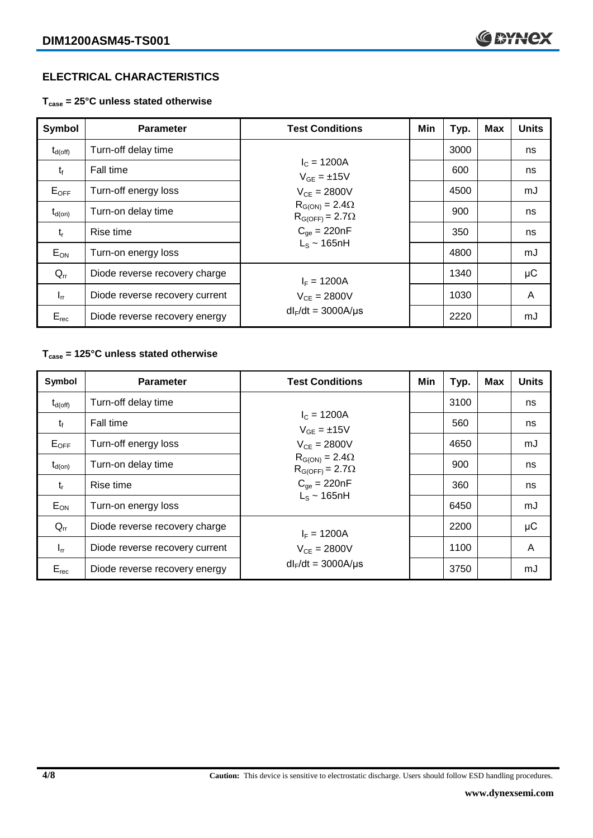# **ELECTRICAL CHARACTERISTICS**

**Tcase = 25°C unless stated otherwise**

| Symbol              | <b>Parameter</b>               | <b>Test Conditions</b>                              | Min | Typ. | <b>Max</b> | <b>Units</b> |
|---------------------|--------------------------------|-----------------------------------------------------|-----|------|------------|--------------|
| $t_{d(\text{off})}$ | Turn-off delay time            |                                                     |     | 3000 |            | ns           |
| $t_{f}$             | <b>Fall time</b>               | $I_c = 1200A$<br>$V_{GF} = \pm 15V$                 |     | 600  |            | ns           |
| $E_{OFF}$           | Turn-off energy loss           | $V_{CE} = 2800V$                                    |     | 4500 |            | mJ           |
| $t_{d(on)}$         | Turn-on delay time             | $R_{G(ON)} = 2.4\Omega$<br>$R_{G(OFF)} = 2.7\Omega$ |     | 900  |            | ns           |
| $t_{r}$             | Rise time                      | $C_{\text{oe}} = 220nF$                             |     | 350  |            | ns           |
| $E_{ON}$            | Turn-on energy loss            | $L_s \sim 165$ nH                                   |     | 4800 |            | mJ           |
| $Q_{rr}$            | Diode reverse recovery charge  | $I_F = 1200A$                                       |     | 1340 |            | $\mu$ C      |
| $I_{rr}$            | Diode reverse recovery current | $V_{CE} = 2800V$                                    |     | 1030 |            | A            |
| $E_{rec}$           | Diode reverse recovery energy  | $dl_F/dt = 3000A/\mu s$                             |     | 2220 |            | mJ           |

# **Tcase = 125°C unless stated otherwise**

| Symbol              | <b>Parameter</b>               | <b>Test Conditions</b>                              | Min | Typ. | <b>Max</b> | <b>Units</b> |
|---------------------|--------------------------------|-----------------------------------------------------|-----|------|------------|--------------|
| $t_{d(\text{off})}$ | Turn-off delay time            |                                                     |     | 3100 |            | ns           |
| $t_{f}$             | Fall time                      | $I_c = 1200A$<br>$V_{GE} = \pm 15V$                 |     | 560  |            | ns           |
| $E_{OFF}$           | Turn-off energy loss           | $V_{CE} = 2800V$                                    |     | 4650 |            | mJ           |
| $t_{d(on)}$         | Turn-on delay time             | $R_{G(ON)} = 2.4\Omega$<br>$R_{G(OFF)} = 2.7\Omega$ |     | 900  |            | ns           |
| $t_{r}$             | Rise time                      | $C_{qe} = 220nF$                                    |     | 360  |            | ns           |
| $E_{ON}$            | Turn-on energy loss            | $L_s \sim 165$ nH                                   |     | 6450 |            | mJ           |
| $Q_{rr}$            | Diode reverse recovery charge  | $I_F = 1200A$                                       |     | 2200 |            | μC           |
| $I_{rr}$            | Diode reverse recovery current | $V_{CE} = 2800V$                                    |     | 1100 |            | A            |
| $E_{rec}$           | Diode reverse recovery energy  | $dl_F/dt = 3000A/\mu s$                             |     | 3750 |            | mJ           |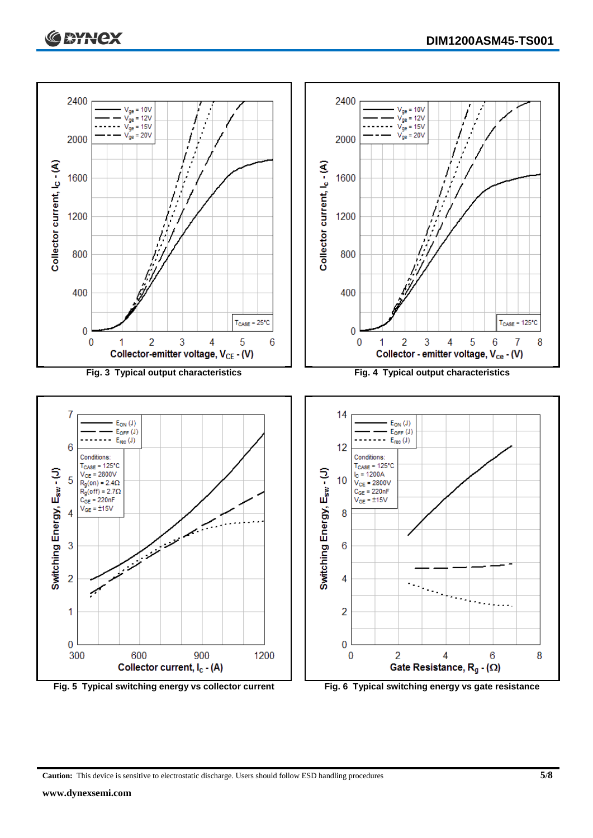



**Caution:** This device is sensitive to electrostatic discharge. Users should follow ESD handling procedures **5/8**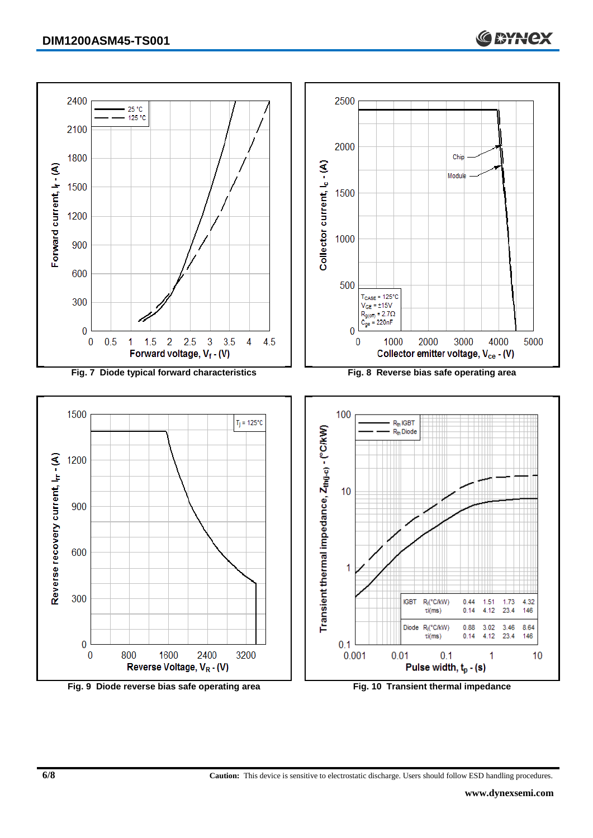

**6/8 Caution:** This device is sensitive to electrostatic discharge. Users should follow ESD handling procedures.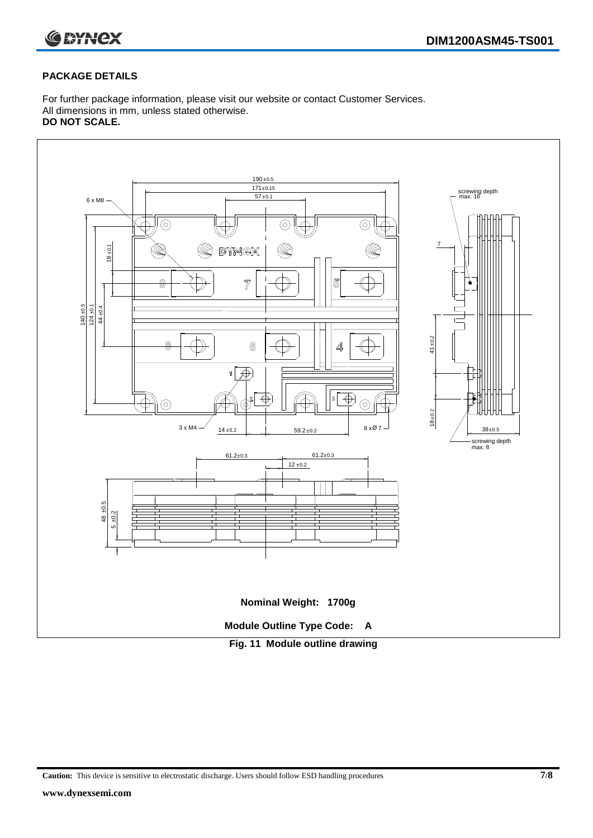

# **PACKAGE DETAILS**

For further package information, please visit our website or contact Customer Services. All dimensions in mm, unless stated otherwise. **DO NOT SCALE.**



**Caution:** This device is sensitive to electrostatic discharge. Users should follow ESD handling procedures **7/8**